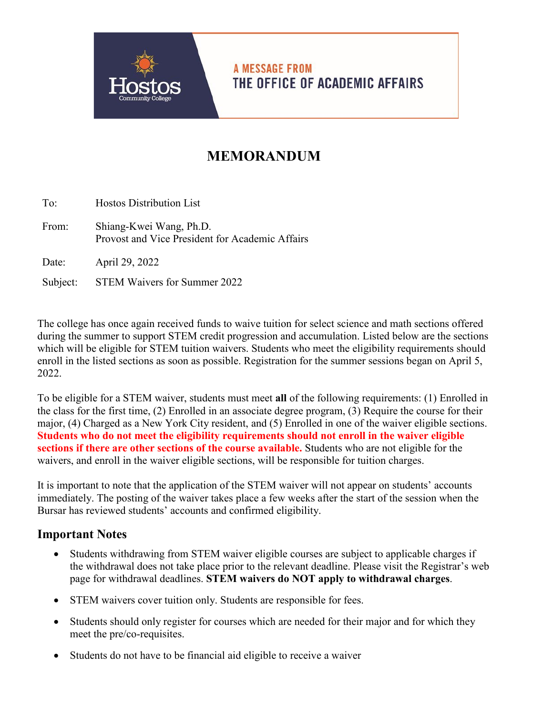

**A MESSAGE FROM** THE OFFICE OF ACADEMIC AFFAIRS

## **MEMORANDUM**

To: Hostos Distribution List From: Shiang-Kwei Wang, Ph.D. Provost and Vice President for Academic Affairs Date: April 29, 2022

Subject: STEM Waivers for Summer 2022

The college has once again received funds to waive tuition for select science and math sections offered during the summer to support STEM credit progression and accumulation. Listed below are the sections which will be eligible for STEM tuition waivers. Students who meet the eligibility requirements should enroll in the listed sections as soon as possible. Registration for the summer sessions began on April 5, 2022.

To be eligible for a STEM waiver, students must meet **all** of the following requirements: (1) Enrolled in the class for the first time, (2) Enrolled in an associate degree program, (3) Require the course for their major, (4) Charged as a New York City resident, and (5) Enrolled in one of the waiver eligible sections. **Students who do not meet the eligibility requirements should not enroll in the waiver eligible sections if there are other sections of the course available.** Students who are not eligible for the waivers, and enroll in the waiver eligible sections, will be responsible for tuition charges.

It is important to note that the application of the STEM waiver will not appear on students' accounts immediately. The posting of the waiver takes place a few weeks after the start of the session when the Bursar has reviewed students' accounts and confirmed eligibility.

## **Important Notes**

- Students withdrawing from STEM waiver eligible courses are subject to applicable charges if the withdrawal does not take place prior to the relevant deadline. Please visit the Registrar's web page for withdrawal deadlines. **STEM waivers do NOT apply to withdrawal charges**.
- STEM waivers cover tuition only. Students are responsible for fees.
- Students should only register for courses which are needed for their major and for which they meet the pre/co-requisites.
- Students do not have to be financial aid eligible to receive a waiver